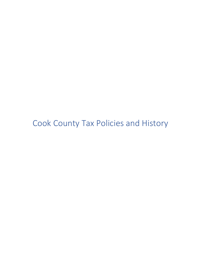Cook County Tax Policies and History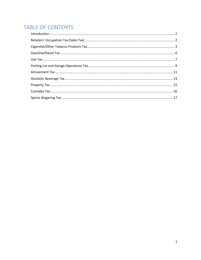# TABLE OF CONTENTS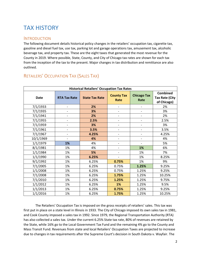# TAX HISTORY

### <span id="page-2-0"></span>**INTRODUCTION**

The following document details historical policy changes in the retailers' occupation tax, cigarette tax, gasoline and diesel fuel tax, use tax, parking lot and garage operations tax, amusement tax, alcoholic beverage tax, and property tax. These are the eight taxes that generated the most revenue for the County in 2019. Where possible, State, County, and City of Chicago tax rates are shown for each tax from the inception of the tax to the present. Major changes in tax distribution and remittance are also outlined.

| <b>Historical Retailers' Occupation Tax Rates</b> |                          |                       |                              |                            |                                                         |
|---------------------------------------------------|--------------------------|-----------------------|------------------------------|----------------------------|---------------------------------------------------------|
| <b>Date</b>                                       | <b>RTA Tax Rate</b>      | <b>State Tax Rate</b> | <b>County Tax</b><br>Rate    | <b>Chicago Tax</b><br>Rate | <b>Combined</b><br><b>Tax Rate (City</b><br>of Chicago) |
| 7/1/1933                                          | -                        | 2%                    | $\qquad \qquad \blacksquare$ |                            | 2%                                                      |
| 7/1/1935                                          |                          | 3%                    | $\overline{\phantom{a}}$     |                            | 3%                                                      |
| 7/1/1941                                          | $\overline{\phantom{a}}$ | 2%                    | $\overline{\phantom{a}}$     | $\overline{\phantom{a}}$   | 2%                                                      |
| 7/1/1955                                          |                          | 2.5%                  | $\overline{\phantom{a}}$     |                            | 2.5%                                                    |
| 7/1/1959                                          | $\overline{\phantom{0}}$ | 3%                    | $\overline{\phantom{a}}$     |                            | 3%                                                      |
| 7/1/1961                                          |                          | 3.5%                  | $\overline{\phantom{a}}$     | $\overline{\phantom{0}}$   | 3.5%                                                    |
| 7/1/1967                                          |                          | 4.25%                 |                              |                            | 4.25%                                                   |
| 10/1/1969                                         |                          | 4%                    | $\qquad \qquad \blacksquare$ |                            | 4%                                                      |
| 1/1/1979                                          | 1%                       | 4%                    |                              |                            | 5%                                                      |
| 8/1/1981                                          | 1%                       | 4%                    | $\overline{\phantom{a}}$     | 1%                         | 6%                                                      |
| 1/1/1984                                          | 1%                       | 5%                    | $\qquad \qquad \blacksquare$ | 1%                         | 7%                                                      |
| 1/1/1990                                          | 1%                       | 6.25%                 | $\overline{\phantom{a}}$     | 1%                         | 8.25%                                                   |
| 9/1/1992                                          | 1%                       | 6.25%                 | 0.75%                        | 1%                         | 9%                                                      |
| 7/1/2005                                          | 1%                       | 6.25%                 | 0.75%                        | 1.25%                      | 9.25%                                                   |
| 1/1/2008                                          | 1%                       | 6.25%                 | 0.75%                        | 1.25%                      | 9.25%                                                   |
| 7/1/2008                                          | 1%                       | 6.25%                 | 1.75%                        | 1.25%                      | 10.25%                                                  |
| 7/1/2010                                          | 1%                       | 6.25%                 | 1.25%                        | 1.25%                      | 9.75%                                                   |
| 1/1/2012                                          | 1%                       | 6.25%                 | 1%                           | 1.25%                      | 9.5%                                                    |
| 1/1/2013                                          | 1%                       | 6.25%                 | 0.75%                        | 1.25%                      | 9.25%                                                   |
| 1/1/2016                                          | 1%                       | 6.25%                 | 1.75%                        | 1.25%                      | 10.25%                                                  |

### <span id="page-2-1"></span>RETAILERS' OCCUPATION TAX (SALES TAX)

The Retailers' Occupation Tax is imposed on the gross receipts of retailers' sales. This tax was first put in place on a state level in Illinois in 1933. The City of Chicago imposed its own sales tax in 1981, and Cook County imposed a sales tax in 1992. Since 1979, the Regional Transportation Authority (RTA) has also collected a sales tax. Under the current 6.25% State tax rate, 80% of revenues are retained by the State, while 16% go to the Local Government Tax Fund and the remaining 4% go to the County and Mass Transit Fund. Revenues from state and local Retailers' Occupation Taxes are projected to increase due to changes in tax requirements after the Supreme Court's decision in South Dakota v. Wayfair. The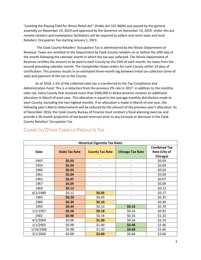"Leveling the Playing Field for Illinois Retail Act" (Public Act 101-0604) was passed by the general assembly on November 14, 2019 and approved by the Governor on December 13, 2019. Under this act, remote retailers and marketplace facilitators will be required to collect and remit state and local Retailers' Occupation Tax starting January 1, 2021.

 The Cook County Retailers' Occupation Tax is administered by the Illinois Department of Revenue. Taxes are remitted to the Department by Cook County retailers on or before the 20th day of the month following the calendar month in which the tax was collected. The Illinois Department of Revenue certifies the amount to be paid to each County by the 25th of each month, for taxes from the second preceding calendar month. The Comptroller draws orders for each County within 10 days of certification. This process results in an estimated three-month lag between initial tax collection (time of sale) and payment of the tax to the County.

As of 2018, 1.5% of the collected sales tax is transferred to the Tax Compliance and Administration Fund. This is a reduction from the previous 2% rate in 2017. In addition to the monthly sales tax, every County that received more than \$500,000 in disbursements receives an additional allocation in March of each year. This allocation is equal to the average monthly distribution made to each County, excluding the two highest months. If an allocation is made in March of one year, the following year's March disbursement will be reduced by the amount of the previous year's allocation. As of December 2016, the Cook County Bureau of Finance must conduct a fiscal planning exercise and provide a 36-month projection of tax-based revenues prior to any increase or decrease in the Cook County Retailers' Occupation Tax.

| <b>Historical Cigarette Tax Rates</b> |                       |                              |                          |                                                  |  |  |
|---------------------------------------|-----------------------|------------------------------|--------------------------|--------------------------------------------------|--|--|
| Date                                  | <b>State Tax Rate</b> | <b>County Tax Rate</b>       | <b>Chicago Tax Rate</b>  | <b>Combined Tax</b><br>Rate (City of<br>Chicago) |  |  |
| 1947                                  | \$0.03                | $\overline{a}$               | $\overline{\phantom{a}}$ | \$0.03                                           |  |  |
| 1959                                  | \$0.04                |                              | -                        | \$0.04                                           |  |  |
| 1960                                  | \$0.03                |                              |                          | \$0.03                                           |  |  |
| 1961                                  | \$0.04                |                              |                          | \$0.04                                           |  |  |
| 1965                                  | \$0.07                |                              | -                        | \$0.07                                           |  |  |
| 1967                                  | \$0.09                | $\qquad \qquad \blacksquare$ | $\overline{\phantom{a}}$ | \$0.09                                           |  |  |
| 1969                                  | \$0.12                |                              |                          | \$0.12                                           |  |  |
| 6/1/1980                              | \$0.12                | \$0.05                       | -                        | \$0.17                                           |  |  |
| 1985                                  | \$0.20                | \$0.05                       | $\overline{a}$           | \$0.25                                           |  |  |
| 1989                                  | \$0.30                | \$0.10                       | $\overline{\phantom{a}}$ | \$0.40                                           |  |  |
| 1993                                  | \$0.44                | \$0.10                       | \$0.16                   | \$0.70                                           |  |  |
| 1/1/1997                              | \$0.58                | \$0.18                       | \$0.16                   | \$0.92                                           |  |  |
| 2002                                  | \$0.98                | \$0.18                       | \$0.16                   | \$1.32                                           |  |  |
| 4/1/2004                              | \$0.98                | \$1.00                       | \$0.16                   | \$2.14                                           |  |  |
| 1/1/2005                              | \$0.98                | \$1.00                       | \$0.48                   | \$2.46                                           |  |  |
| 1/10/2006                             | \$0.98                | \$1.00                       | \$0.68                   | \$2.66                                           |  |  |
| 3/1/2006                              | \$0.98                | \$2.00                       | \$0.68                   | \$3.66                                           |  |  |

## <span id="page-3-0"></span>CIGARETTE/OTHER TOBACCO PRODUCTS TAX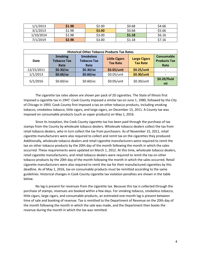| 1/1/2013  | \$1.98 | \$2.00 | \$0.68 | \$4.66 |
|-----------|--------|--------|--------|--------|
| 3/1/2013  | \$1.98 | \$3.00 | \$0.68 | \$5.66 |
| 1/10/2014 | \$1.98 | \$3.00 | \$1.18 | \$6.16 |
| 7/1/2019  | \$2.98 | \$3.00 | \$1.18 | \$7.16 |

| <b>Historical Other Tobacco Products Tax Rates</b> |                                              |                                                                                           |             |                                        |                                                  |  |
|----------------------------------------------------|----------------------------------------------|-------------------------------------------------------------------------------------------|-------------|----------------------------------------|--------------------------------------------------|--|
| Date                                               | <b>Smoking</b><br><b>Tobacco Tax</b><br>Rate | <b>Smokeless</b><br><b>Little Cigars</b><br><b>Tobacco Tax</b><br><b>Tax Rate</b><br>Rate |             | <b>Large Cigars</b><br><b>Tax Rate</b> | <b>Consumable</b><br><b>Products Tax</b><br>Rate |  |
| 12/15/2011                                         | $$0.30$ /oz                                  | $$0.30$ /oz                                                                               | \$0.05/unit | \$0.25/unit                            |                                                  |  |
| 1/1/2013                                           | \$0.60/oz                                    | \$0.60/oz                                                                                 | \$0.05/unit | \$0.30/unit                            |                                                  |  |
| 5/1/2016                                           | $$0.60$ /oz                                  | $$0.60$ /oz                                                                               | \$0.05/unit | \$0.30/unit                            | \$0.20/fluid<br>ml                               |  |

The cigarette tax rates above are shown per pack of 20 cigarettes. The State of Illinois first imposed a cigarette tax in 1947. Cook County imposed a similar tax on June 1, 1980, followed by the City of Chicago in 1993. Cook County first imposed a tax on other tobacco products, including smoking tobacco, smokeless tobacco, little cigars, and large cigars, on December 15, 2011. A County tax was imposed on consumable products (such as vapor products) on May 1, 2016.

Since its inception, the Cook County cigarette tax has been paid through the purchase of tax stamps from the County by wholesale tobacco dealers. Wholesale tobacco dealers collect the tax from retail tobacco dealers, who in turn collect the tax from purchasers. As of November 15, 2011, retail cigarette manufacturers were also required to collect and remit tax on the cigarettes they produced. Additionally, wholesale tobacco dealers and retail cigarette manufacturers were required to remit the tax on other tobacco products by the 20th day of the month following the month in which the sales occurred. These requirements were updated on March 1, 2012. At this time, wholesale tobacco dealers, retail cigarette manufacturers, and retail tobacco dealers were required to remit the tax on other tobacco products by the 20th day of the month following the month in which the sales occurred. Retail cigarette manufacturers were also required to remit the tax for their manufactured cigarettes by this deadline. As of May 1, 2016, tax on consumable products must be remitted according to the same guidelines. Historical changes in Cook County cigarette tax violation penalties are shown in the table below.

No lag is present for revenues from the cigarette tax. Because this tax is collected through the purchase of stamps, revenues are booked within a few days. For smoking tobacco, smokeless tobacco, little cigars, large cigars, and consumable products, an estimated one-month lag is present between time of sale and booking of revenue. Tax is remitted to the Department of Revenue on the 20th day of the month following the month in which the sale was made, and the Department then books the revenue during the month in which the tax was remitted.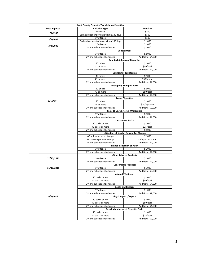| <b>Cook County Cigarette Tax Violation Penalties</b> |                                                 |                                            |  |  |  |
|------------------------------------------------------|-------------------------------------------------|--------------------------------------------|--|--|--|
| Date Imposed                                         | <b>Violation Type</b>                           | <b>Penalties</b>                           |  |  |  |
| 1/1/1980                                             | 1 <sup>st</sup> offense                         | \$300                                      |  |  |  |
|                                                      | Each subsequent offense within 180 days         | \$500                                      |  |  |  |
| 3/1/2006                                             | 1 <sup>st</sup> offense                         | \$500                                      |  |  |  |
|                                                      | Each subsequent offense within 180 days         | \$1,000                                    |  |  |  |
| 3/4/2009                                             | 1 <sup>st</sup> offense                         | \$1,000                                    |  |  |  |
|                                                      | 2 <sup>nd</sup> and subsequent offenses         | \$2,000                                    |  |  |  |
|                                                      |                                                 | Concealment                                |  |  |  |
|                                                      | 1 <sup>st</sup> offense                         | \$2,000                                    |  |  |  |
|                                                      | 2 <sup>nd</sup> and subsequent offenses         | Additional \$4,000                         |  |  |  |
|                                                      |                                                 | <b>Counterfeit Packs of Cigarettes</b>     |  |  |  |
|                                                      | 40 or less                                      | \$2,000                                    |  |  |  |
|                                                      | 41 or more                                      | \$50/pack                                  |  |  |  |
|                                                      | 2 <sup>nd</sup> and subsequent offenses         | Additional \$4,000                         |  |  |  |
|                                                      |                                                 | <b>Counterfeit Tax Stamps</b>              |  |  |  |
|                                                      | 40 or less                                      | \$2,000                                    |  |  |  |
|                                                      | 41 or more                                      | \$50/stamp                                 |  |  |  |
|                                                      | 2 <sup>nd</sup> and subsequent offenses         | Additional \$4,000                         |  |  |  |
|                                                      |                                                 | <b>Improperly Stamped Packs</b>            |  |  |  |
|                                                      | 40 or less                                      | \$2,000                                    |  |  |  |
|                                                      | 41 or more                                      | \$50/pack                                  |  |  |  |
|                                                      | 2 <sup>nd</sup> and subsequent offenses         | Additional \$2,000                         |  |  |  |
|                                                      |                                                 | <b>Loose Cigarettes</b>                    |  |  |  |
| 2/16/2011                                            | 40 or less                                      | \$1,000                                    |  |  |  |
|                                                      | 40 or more                                      | \$25/cigarette                             |  |  |  |
|                                                      | 2 <sup>nd</sup> and subsequent offenses         | Additional \$2,000                         |  |  |  |
|                                                      | 1 <sup>st</sup> offense                         | <b>Sales to Unregistered Wholesalers</b>   |  |  |  |
|                                                      | 2 <sup>nd</sup> and subsequent offenses         | \$2,000<br>Additional \$4,000              |  |  |  |
|                                                      | <b>Unstamped Packs</b>                          |                                            |  |  |  |
|                                                      | 40 packs or less                                | \$1,000                                    |  |  |  |
|                                                      | 41 packs or more                                | \$25/pack                                  |  |  |  |
|                                                      | 2 <sup>nd</sup> and subsequent offenses         | \$2,000                                    |  |  |  |
|                                                      | <b>Utilization of Used or Reused Tax Stamps</b> |                                            |  |  |  |
|                                                      | 40 or less packs or stamps                      | \$2,000                                    |  |  |  |
|                                                      | 41 or more packs or stamps                      | \$50/pack or stamp                         |  |  |  |
|                                                      | 2 <sup>nd</sup> and subsequent offenses         | Additional \$4,000                         |  |  |  |
|                                                      | <b>Hinder Inspection or Audit</b>               |                                            |  |  |  |
|                                                      | 1 <sup>st</sup> offense                         | \$1,000                                    |  |  |  |
|                                                      | 2 <sup>nd</sup> and subsequent offenses         | Additional \$2,000                         |  |  |  |
|                                                      |                                                 | <b>Other Tobacco Products</b>              |  |  |  |
| 12/15/2011                                           | 1 <sup>st</sup> offense                         | \$1.000                                    |  |  |  |
|                                                      | 2 <sup>nd</sup> and subsequent offenses         | Additional \$2,000                         |  |  |  |
|                                                      | <b>Consumable Products</b>                      |                                            |  |  |  |
| 11/18/2015                                           | 1 <sup>st</sup> offense                         | \$1,000                                    |  |  |  |
|                                                      | 2 <sup>nd</sup> and subsequent offenses         | Additional \$2,000                         |  |  |  |
|                                                      |                                                 | Altered/Mutilated                          |  |  |  |
|                                                      | 40 packs or less                                | \$2,000                                    |  |  |  |
|                                                      | 41 packs or more                                | \$50/pack                                  |  |  |  |
|                                                      | 2 <sup>nd</sup> and subsequent offenses         | Additional \$4,000                         |  |  |  |
|                                                      |                                                 | <b>Books and Records</b>                   |  |  |  |
|                                                      | 1 <sup>st</sup> offense                         | \$1,000                                    |  |  |  |
|                                                      | 2 <sup>nd</sup> and subsequent offenses         | Additional \$2,000                         |  |  |  |
| 6/1/2016                                             |                                                 | <b>Illegal Imports/Exports</b>             |  |  |  |
|                                                      | 40 packs or less                                | \$2,000                                    |  |  |  |
|                                                      | 41 packs or more                                | \$50/pack                                  |  |  |  |
|                                                      | 2 <sup>nd</sup> and subsequent offenses         | Additional \$4,000                         |  |  |  |
|                                                      |                                                 | <b>Retail Manufactured Cigarette Packs</b> |  |  |  |
|                                                      | 40 packs or less                                | \$1,000                                    |  |  |  |
|                                                      | 41 packs or more                                | \$25/pack                                  |  |  |  |
|                                                      | 2 <sup>nd</sup> and subsequent offenses         | Additional \$2,000                         |  |  |  |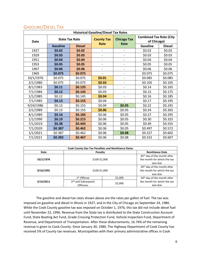| <b>Historical Gasoline/Diesel Tax Rates</b> |                       |               |                              |                              |                                               |               |  |
|---------------------------------------------|-----------------------|---------------|------------------------------|------------------------------|-----------------------------------------------|---------------|--|
| <b>Date</b>                                 | <b>State Tax Rate</b> |               | <b>County Tax</b>            | <b>Chicago Tax</b>           | <b>Combined Tax Rate (City</b><br>of Chicago) |               |  |
|                                             | <b>Gasoline</b>       | <b>Diesel</b> | Rate                         | Rate                         | <b>Gasoline</b>                               | <b>Diesel</b> |  |
| 1927                                        | \$0.02                | \$0.02        | $\overline{\phantom{0}}$     | $\overline{a}$               | \$0.02                                        | \$0.02        |  |
| 1929                                        | \$0.03\$              | \$0.03        | $\overline{\phantom{0}}$     | $\qquad \qquad \blacksquare$ | \$0.03                                        | \$0.03        |  |
| 1951                                        | \$0.04                | \$0.04        | $\overline{\phantom{a}}$     | $\overline{\phantom{0}}$     | \$0.04                                        | \$0.04        |  |
| 1953                                        | \$0.05                | \$0.05        | $\qquad \qquad \blacksquare$ | $\overline{\phantom{0}}$     | \$0.05                                        | \$0.05        |  |
| 1967                                        | \$0.06                | \$0.06        | $\overline{\phantom{a}}$     | $\overline{\phantom{0}}$     | \$0.06                                        | \$0.06        |  |
| 1969                                        | \$0.075               | \$0.075       | $\overline{\phantom{0}}$     | $\overline{a}$               | \$0.075                                       | \$0.075       |  |
| 10/1/1976                                   | \$0.075               | \$0.075       | \$0.01                       | $\overline{\phantom{0}}$     | \$0.085                                       | \$0.085       |  |
| 2/1/1980                                    | \$0.075               | \$0.075       | \$0.03\$                     | $\overline{\phantom{0}}$     | \$0.105                                       | \$0.105       |  |
| 8/1/1983                                    | \$0.11                | \$0.135       | \$0.03                       | $\qquad \qquad \blacksquare$ | \$0.14                                        | \$0.165       |  |
| 7/1/1984                                    | \$0.12                | \$0.145       | \$0.03                       | $\overline{\phantom{0}}$     | \$0.15                                        | \$0.175       |  |
| 1/1/1985                                    | \$0.12                | \$0.145       | \$0.04                       | $\overline{\phantom{0}}$     | \$0.16                                        | \$0.185       |  |
| 7/1/1985                                    | \$0.13                | \$0.155       | \$0.04                       | $\overline{\phantom{0}}$     | \$0.17                                        | \$0.195       |  |
| 9/24/1986                                   | \$0.13                | \$0.155       | \$0.04                       | \$0.05                       | \$0.22                                        | \$0.245       |  |
| 3/1/1989                                    | \$0.13                | \$0.155       | \$0.06                       | \$0.05                       | \$0.24                                        | \$0.265       |  |
| 8/1/1989                                    | \$0.16                | \$0.185       | \$0.06                       | \$0.05                       | \$0.27                                        | \$0.295       |  |
| 1/1/1990                                    | \$0.19                | \$0.215       | \$0.06                       | \$0.05                       | \$0.30                                        | \$0.325       |  |
| 7/1/2019                                    | \$0.38                | \$0.445       | \$0.06                       | \$0.05                       | \$0.49                                        | \$0.555       |  |
| 7/1/2020                                    | \$0.387               | \$0.462       | \$0.06                       | \$0.05                       | \$0.497                                       | \$0.572       |  |
| 1/1/2021                                    | \$0.387               | \$0.462       | \$0.06                       | \$0.08                       | \$0.527                                       | \$0.602       |  |
| 7/1/2021                                    | \$0.392               | \$0.467       | \$0.06                       | \$0.08                       | \$0.532                                       | \$0.607       |  |

### <span id="page-6-0"></span>GASOLINE/DIESEL TAX

| <b>Cook County Gas Tax Penalties and Remittance Dates</b> |                                         |                                         |                                         |  |  |  |
|-----------------------------------------------------------|-----------------------------------------|-----------------------------------------|-----------------------------------------|--|--|--|
| Date                                                      | Penalty                                 | <b>Remittance Date</b>                  |                                         |  |  |  |
|                                                           | 45 <sup>th</sup> day of the month after |                                         |                                         |  |  |  |
| 10/1/1976                                                 | \$100-\$1,000                           | the month for which the tax             |                                         |  |  |  |
|                                                           |                                         | was due                                 |                                         |  |  |  |
|                                                           |                                         | 20 <sup>th</sup> day of the month after |                                         |  |  |  |
| 9/16/1991                                                 | \$100-\$1,000                           | the month for which the tax             |                                         |  |  |  |
|                                                           |                                         | was due                                 |                                         |  |  |  |
|                                                           | 1 <sup>st</sup> Offense                 | \$1,000                                 | 20 <sup>th</sup> day of the month after |  |  |  |
| 2/16/2011                                                 | 2 <sup>nd</sup> and Subsequent          |                                         | the month for which the tax             |  |  |  |
|                                                           | <b>Offenses</b>                         | \$2,000                                 | was due                                 |  |  |  |

The gasoline and diesel tax rates shown above are the rates per gallon of fuel. The tax was imposed on gasoline and diesel in Illinois in 1927, and in the City of Chicago on September 24, 1986. While the Cook County gasoline tax was imposed on October 1, 1976, this tax did not include diesel fuel until November 22, 1996. Revenue from the State tax is distributed to the State Construction Account Fund, State Boating Act Fund, Grade Crossing Protection Fund, Vehicle Inspection Fund, Department of Revenue, and Department of Transportation. After these disbursements, 16.74% of the remaining revenue is given to Cook County. Since January 30, 1980, The Highway Department of Cook County has received 5% of County tax revenues. Municipalities with their primary administrative offices in Cook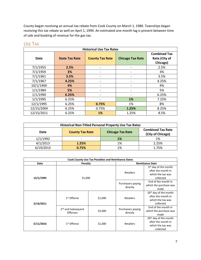County began receiving an annual tax rebate from Cook County on March 1, 1980. Townships began receiving this tax rebate as well on April 1, 1994. An estimated one-month lag is present between time of sale and booking of revenue for the gas tax.

| <b>Historical Use Tax Rates</b> |                       |                          |                          |                                                  |  |  |
|---------------------------------|-----------------------|--------------------------|--------------------------|--------------------------------------------------|--|--|
| Date                            | <b>State Tax Rate</b> | <b>County Tax Rate</b>   | <b>Chicago Tax Rate</b>  | <b>Combined Tax</b><br>Rate (City of<br>Chicago) |  |  |
| 7/1/1955                        | 2.5%                  | -                        | -                        | 2.5%                                             |  |  |
| 7/1/1959                        | 3%                    | -                        | $\overline{\phantom{a}}$ | 3%                                               |  |  |
| 7/1/1961                        | 3.5%                  | -                        | $\overline{\phantom{a}}$ | 3.5%                                             |  |  |
| 7/1/1967                        | 4.25%                 | $\overline{\phantom{a}}$ | $\overline{\phantom{a}}$ | 4.25%                                            |  |  |
| 10/1/1969                       | 4%                    | -                        | $\overline{\phantom{a}}$ | 4%                                               |  |  |
| 1/1/1984                        | 5%                    | -                        | $\overline{\phantom{a}}$ | 5%                                               |  |  |
| 1/1/1990                        | 6.25%                 |                          |                          | 6.25%                                            |  |  |
| 1/1/1995                        | 6.25%                 | -                        | 1%                       | 7.25%                                            |  |  |
| 12/1/1995                       | 6.25%                 | 0.75%                    | 1%                       | 8%                                               |  |  |
| 12/15/2004                      | 6.25%                 | 0.75%                    | 1.25%                    | 8.25%                                            |  |  |
| 12/15/2011                      | 6.25%                 | 1%                       | 1.25%                    | 8.5%                                             |  |  |

### <span id="page-7-0"></span>USE TAX

| <b>Historical Non-Titled Personal Property Use Tax Rates</b> |                                               |    |       |  |  |  |
|--------------------------------------------------------------|-----------------------------------------------|----|-------|--|--|--|
| Date                                                         | <b>Combined Tax Rate</b><br>(City of Chicago) |    |       |  |  |  |
| 1/1/1992                                                     |                                               | 1% | 1%    |  |  |  |
| 4/1/2013                                                     | 1.25%                                         | 1% | 2.25% |  |  |  |
| 6/19/2013                                                    | 0.75%                                         | 1% | 1.75% |  |  |  |

| <b>Cook County Use Tax Penalties and Remittance Dates</b> |                                                   |         |                                                                                                                                                                                                                                                                                                     |                                                                                           |  |
|-----------------------------------------------------------|---------------------------------------------------|---------|-----------------------------------------------------------------------------------------------------------------------------------------------------------------------------------------------------------------------------------------------------------------------------------------------------|-------------------------------------------------------------------------------------------|--|
| Date                                                      | Penalty                                           |         |                                                                                                                                                                                                                                                                                                     |                                                                                           |  |
| 12/1/1995                                                 | \$1,000                                           |         | <b>Remittance Date</b><br>5 <sup>th</sup> day of the month<br>after the month in<br><b>Retailers</b><br>which the tax was<br>collected<br>End of the month in<br>Purchasers paying<br>which the purchase was<br>directly<br>made<br>Retailers<br>collected<br>Purchasers paying<br>directly<br>made |                                                                                           |  |
|                                                           |                                                   |         |                                                                                                                                                                                                                                                                                                     |                                                                                           |  |
| 2/16/2011                                                 | 1 <sup>st</sup> Offense                           | \$1,000 |                                                                                                                                                                                                                                                                                                     | 20 <sup>th</sup> day of the month<br>after the month in<br>which the tax was              |  |
|                                                           | 2 <sup>nd</sup> and Subsequent<br><b>Offenses</b> | \$2,000 |                                                                                                                                                                                                                                                                                                     | End of the month in<br>which the purchase was                                             |  |
| 5/11/2016                                                 | 1 <sup>st</sup> Offense                           | \$1,000 | <b>Retailers</b>                                                                                                                                                                                                                                                                                    | 20 <sup>th</sup> day of the month<br>after the month in<br>which the tax was<br>collected |  |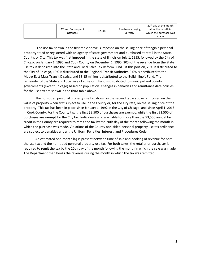| 2 <sup>nd</sup> and Subsequent | \$2,000 | Purchasers paying | 20 <sup>th</sup> day of the month<br>after the month in |
|--------------------------------|---------|-------------------|---------------------------------------------------------|
| <b>Offenses</b>                |         | directly          | which the purchase was                                  |
|                                |         |                   | made                                                    |

 The use tax shown in the first table above is imposed on the selling price of tangible personal property titled or registered with an agency of state government and purchased at retail in the State, County, or City. This tax was first imposed in the state of Illinois on July 1, 1955, followed by the City of Chicago on January 1, 1995 and Cook County on December 1, 1995. 20% of the revenue from the State use tax is deposited into the State and Local Sales Tax Reform Fund. Of this portion, 20% is distributed to the City of Chicago, 10% is distributed to the Regional Transit Authority, 0.6% is distributed to the Metro-East Mass Transit District, and \$3.15 million is distributed to the Build Illinois Fund. The remainder of the State and Local Sales Tax Reform Fund is distributed to municipal and county governments (except Chicago) based on population. Changes in penalties and remittance date policies for the use tax are shown in the third table above.

The non-titled personal property use tax shown in the second table above is imposed on the value of property when first subject to use in the County or, for the City rate, on the selling price of the property. This tax has been in place since January 1, 1992 in the City of Chicago, and since April 1, 2013, in Cook County. For the County tax, the first \$3,500 of purchases are exempt, while the first \$2,500 of purchases are exempt for the City tax. Individuals who are liable for more than the \$3,500 annual tax credit in the County are required to remit the tax by the 20th day of the month following the month in which the purchase was made. Violations of the County non-titled personal property use tax ordinance are subject to penalties under the Uniform Penalties, Interest, and Procedures Code.

An estimated one-month lag is present between time of sale and booking of revenue for both the use tax and the non-titled personal property use tax. For both taxes, the retailer or purchaser is required to remit the tax by the 20th day of the month following the month in which the sale was made. The Department then books the revenue during the month in which the tax was remitted.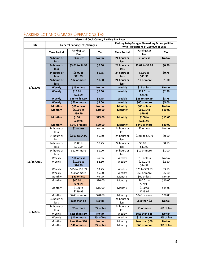| <b>Historical Cook County Parking Tax Rates</b> |                     |                                     |           |                     |                                                                                     |           |  |  |
|-------------------------------------------------|---------------------|-------------------------------------|-----------|---------------------|-------------------------------------------------------------------------------------|-----------|--|--|
| Date                                            |                     | <b>General Parking Lots/Garages</b> |           |                     | Parking Lots/Garages Owned my Municipalities<br>with Populations of 250,000 or Less |           |  |  |
|                                                 | <b>Time Period</b>  | <b>Parking Lot</b><br>Fee           | Tax       | <b>Time Period</b>  | <b>Parking Lot</b><br>Fee                                                           | Tax       |  |  |
|                                                 | 24 hours or<br>less | \$3 or less                         | No tax    | 24 hours or<br>less | \$3 or less                                                                         | No tax    |  |  |
|                                                 | 24 hours or<br>less | \$3.01 to \$4.99                    | \$0.50    | 24 hours or<br>less | \$3.01 to \$4.99                                                                    | \$0.50    |  |  |
|                                                 | 24 hours or<br>less | \$5.00 to<br>\$11.99                | \$0.75    | 24 hours or<br>less | \$5.00 to<br>\$11.99                                                                | \$0.75    |  |  |
|                                                 | 24 hours or<br>less | \$12 or more                        | \$1.00    | 24 hours or<br>less | \$12 or more                                                                        | \$1.00    |  |  |
| 1/1/2001                                        | <b>Weekly</b>       | \$15 or less                        | No tax    | <b>Weekly</b>       | \$15 or less                                                                        | No tax    |  |  |
|                                                 | <b>Weekly</b>       | \$15.01 to                          | \$2.50    | <b>Weekly</b>       | \$15.01 to                                                                          | \$2.50    |  |  |
|                                                 |                     | \$24.99                             |           |                     | \$24.99                                                                             |           |  |  |
|                                                 | <b>Weekly</b>       | \$25 to \$59.99                     | \$3.75    | <b>Weekly</b>       | \$25 to \$59.99                                                                     | \$3.75    |  |  |
|                                                 | Weekly              | \$60 or more                        | \$5.00    | Weekly              | \$60 or more                                                                        | \$5.00    |  |  |
|                                                 | <b>Monthly</b>      | \$60 or less                        | No tax    | <b>Monthly</b>      | \$60 or less                                                                        | No tax    |  |  |
|                                                 | <b>Monthly</b>      | \$60.01 to<br>\$99.99               | \$10.00   | <b>Monthly</b>      | \$60.01 to<br>\$99.99                                                               | \$10.00   |  |  |
|                                                 | <b>Monthly</b>      | \$100 to<br>\$239.99                | \$15.00   | <b>Monthly</b>      | \$100 to<br>\$239.99                                                                | \$15.00   |  |  |
|                                                 | <b>Monthly</b>      | \$240 or more                       | \$20.00   | <b>Monthly</b>      | \$240 or more                                                                       | \$20.00   |  |  |
|                                                 | 24 hours or<br>less | \$2 or less                         | No tax    | 24 hours or<br>less | \$3 or less                                                                         | No tax    |  |  |
|                                                 | 24 hours or<br>less | \$2.01 to \$4.99                    | \$0.50    | 24 hours or<br>less | \$3.01 to \$4.99                                                                    | \$0.50    |  |  |
|                                                 | 24 hours or<br>less | \$5.00 to<br>\$11.99                | \$0.75    | 24 hours or<br>less | \$5.00 to<br>\$11.99                                                                | \$0.75    |  |  |
|                                                 | 24 hours or<br>less | \$12 or more                        | \$1.00    | 24 hours or<br>less | \$12 or more                                                                        | \$1.00    |  |  |
|                                                 | Weekly              | \$10 or less                        | No tax    | Weekly              | \$15 or less                                                                        | No tax    |  |  |
| 11/15/2011                                      | Weekly              | \$10.01 to<br>\$24.99               | \$2.50    | Weekly              | \$15.01 to<br>\$24.99                                                               | \$2.50    |  |  |
|                                                 | Weekly              | \$25 to \$59.99                     | \$3.75    | Weekly              | \$25 to \$59.99                                                                     | \$3.75    |  |  |
|                                                 | Weekly              | \$60 or more                        | \$5.00    | Weekly              | \$60 or more                                                                        | \$5.00    |  |  |
|                                                 | Monthly             | \$40 or less                        | No tax    | Monthly             | \$60 or less                                                                        | No tax    |  |  |
|                                                 | Monthly             | \$40.01 to<br>\$99.99               | \$10.00   | Monthly             | \$60.01 to<br>\$99.99                                                               | \$10.00   |  |  |
|                                                 | Monthly             | \$100 to<br>\$239.99                | \$15.00   | Monthly             | \$100 to<br>\$239.99                                                                | \$15.00   |  |  |
|                                                 | Monthly             | \$240 or more                       | \$20.00   | Monthly             | \$240 or more                                                                       | \$20.00   |  |  |
|                                                 | 24 hours or<br>less | Less than \$2                       | No tax    | 24 hours or<br>less | Less than \$3                                                                       | No tax    |  |  |
|                                                 | 24 hours or<br>less | \$2 or more                         | 6% of fee | 24 hours or<br>less | \$3 or more                                                                         | 6% of fee |  |  |
| 9/1/2013                                        | Weekly              | Less than \$10                      | No tax    | Weekly              | Less than \$15                                                                      | No tax    |  |  |
|                                                 | Weekly              | \$10 or more                        | 9% of fee | Weekly              | \$15 or more                                                                        | 9% of fee |  |  |
|                                                 | Monthly             | Less than \$40                      | No tax    | Monthly             | Less than \$60                                                                      | No tax    |  |  |
|                                                 | Monthly             | \$40 or more                        | 9% of fee | Monthly             | \$60 or more                                                                        | 9% of fee |  |  |

## <span id="page-9-0"></span>PARKING LOT AND GARAGE OPERATIONS TAX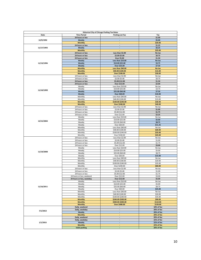|            |                           | <b>Historical City of Chicago Parking Tax Rates</b> |            |
|------------|---------------------------|-----------------------------------------------------|------------|
| Date       | <b>Time Period</b>        | <b>Parking Lot Fee</b>                              | Tax        |
|            | 24 hours or less          |                                                     | \$1.00     |
| 12/9/1992  | Weekly                    | ä,                                                  | \$5.00     |
|            | <b>Monthly</b>            | ÷.                                                  | \$20.00    |
|            | 24 hours or less          | $\mathcal{L}_{\mathcal{A}}$                         | \$1.25     |
|            | Weekly                    | $\blacksquare$                                      | \$6.25     |
| 11/17/1993 |                           |                                                     |            |
|            | <b>Monthly</b>            |                                                     | \$25.00    |
|            | 24 hours or less          | Less than \$2.00                                    | No tax     |
|            | 24 hours or less          | \$2.00-\$5.00                                       | \$0.75     |
|            | 24 hours or less          | Over \$5.00                                         | \$1.50     |
|            | Weekly                    | Less than \$10.00                                   | No tax     |
| 11/13/1996 | Weekly                    | \$10.00-\$25.00                                     | \$3.75     |
|            | Weekly                    | Over \$25.00                                        | \$7.50     |
|            | <b>Monthly</b>            | Less than \$40.00                                   | No tax     |
|            |                           |                                                     |            |
|            | <b>Monthly</b>            | \$40.00-\$100.00                                    | \$15.00    |
|            | <b>Monthly</b>            | Over \$100.00                                       | \$30.00    |
|            | 24 hours or less          | Less than \$2.00                                    | No tax     |
|            | 24 hours or less          | \$2.00-\$5.00                                       | \$0.75     |
|            | 24 hours or less          | \$5.00-\$12.00                                      | \$1.50     |
|            | 24 hours or less          | Over \$12.00                                        | \$2.00     |
|            | Weekly                    | Less than \$10.00                                   | No tax     |
|            | Weekly                    | \$10.00-\$25.00                                     | \$3.75     |
| 11/10/1999 |                           |                                                     | \$7.50     |
|            | Weekly                    | \$25.00-\$60.00                                     |            |
|            | Weekly                    | Over \$60.00                                        | \$10.00    |
|            | Monthly                   | Less than \$40.00                                   | No tax     |
|            | Monthly                   | \$40.00-\$100.00                                    | \$15.00    |
|            | <b>Monthly</b>            | \$100.00-\$240.00                                   | \$30.00    |
|            | <b>Monthly</b>            | Over \$240.00                                       | \$40.00    |
|            | 24 hours or less          | Less than \$2.00                                    | No tax     |
|            | 24 hours or less          | \$2.00-\$5.00                                       | \$1.00     |
|            | 24 hours or less          | \$5.00-\$12.00                                      | \$1.75     |
|            |                           |                                                     |            |
|            | 24 hours or less          | Over \$12.00                                        | \$2.25     |
|            | Weekly                    | Less than \$10.00                                   | No tax     |
| 12/15/2004 | Weekly                    | \$10.00-\$25.00                                     | \$5.00     |
|            | Weekly                    | \$25.00-\$60.00                                     | \$8.75     |
|            | Weekly                    | Over \$60.00                                        | \$11.25    |
|            | Monthly                   | Less than \$40.00                                   | No tax     |
|            | Monthly                   | \$40.00-\$100.00                                    | \$20.00    |
|            | Monthly                   | \$100.00-\$240.00                                   | \$35.00    |
|            | Monthly                   | Over \$240.00                                       | \$45.00    |
|            |                           |                                                     |            |
|            | 24 hours or less          | Less than \$2.00                                    | No tax     |
|            | 24 hours or less          | \$2.00-\$5.00                                       | \$1.00     |
|            | 24 hours or less          | \$5.00-\$12.00                                      | \$1.75     |
|            | 24 hours or less          | Over \$12.00                                        | \$3.00     |
|            | Weekly                    | Less than \$10.00                                   | No tax     |
|            | Weekly                    | \$10.00-\$25.00                                     | \$5.00     |
| 11/19/2008 | Weekly                    | \$25.00-\$60.00                                     | \$8.75     |
|            | Weekly                    | Over \$60.00                                        | \$15.00    |
|            |                           |                                                     |            |
|            | Monthly                   | Less than \$40.00                                   | No tax     |
|            | Monthly                   | \$40.00-\$100.00                                    | \$20.00    |
|            | Monthly                   | \$100.00-\$240.00                                   | \$35.00    |
|            | Monthly                   | Over \$240.00                                       | \$60.00    |
|            | 24 hours or less          | Less than \$2.00                                    | No tax     |
|            | 24 hours or less          | \$2.00-\$5.00                                       | \$1.00     |
|            | 24 hours or less          | \$5.00-\$12.00                                      | \$1.75     |
|            | 24 hours or less, weekend | Over \$12.00                                        | \$3.00     |
|            | 24 hours or less, weekday | Over \$12.00                                        | \$5.00     |
|            |                           | Less than \$10.00                                   |            |
|            | Weekly                    |                                                     | No tax     |
|            | Weekly                    | \$10.00-\$25.00                                     | \$5.00     |
| 11/16/2011 | Weekly                    | \$25.00-\$60.00                                     | \$8.75     |
|            | Weekly                    | Over \$60.00                                        | \$25.00    |
|            | Monthly                   | Less than \$40.00                                   | No tax     |
|            | Monthly                   | \$40.00-\$100.00                                    | \$20.00    |
|            | Monthly                   | \$100.00-\$240.00                                   | \$35.00    |
|            | <b>Monthly</b>            | \$240.00-\$300.00                                   | \$90.00    |
|            | <b>Monthly</b>            | \$300.00-\$400.00                                   | \$110.00   |
|            | <b>Monthly</b>            | Over \$400.00                                       | \$120.00   |
|            |                           |                                                     |            |
|            | Daily, weekend            |                                                     | 18% of fee |
| 7/1/2013   | Daily, weekday            | $\blacksquare$                                      | 20% of fee |
|            | Weekly                    | ÷.                                                  | 20% of fee |
|            | <b>Monthly</b>            | $\blacksquare$                                      | 20% of fee |
|            | Daily, weekend            | $\Box$                                              | 20% of fee |
|            | Daily, weekday            | $\blacksquare$                                      | 22% of fee |
| 1/1/2015   | Weekly                    | $\mathcal{L}_{\mathcal{A}}$                         | 22% of fee |
|            | <b>Monthly</b>            |                                                     | 22% of fee |
|            | <b>Valet parking</b>      | $\omega$                                            | 20% of fee |
|            |                           |                                                     |            |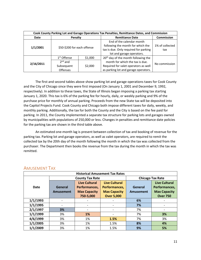| Cook County Parking Lot and Garage Operations Tax Penalties, Remittance Dates, and Commission |                             |         |                                                                                                                                      |                        |  |  |  |
|-----------------------------------------------------------------------------------------------|-----------------------------|---------|--------------------------------------------------------------------------------------------------------------------------------------|------------------------|--|--|--|
| Date                                                                                          | Penalty                     |         | <b>Remittance Date</b>                                                                                                               | <b>Commission</b>      |  |  |  |
| 1/1/2001                                                                                      | \$50-\$200 for each offense |         | End of the calendar month<br>following the month for which the<br>tax is due. Only required for parking<br>lot and garage operators. | 1% of collected<br>tax |  |  |  |
|                                                                                               | 1 <sup>st</sup> Offense     | \$1,000 | 20 <sup>th</sup> day of the month following the                                                                                      |                        |  |  |  |
| 2/16/2011                                                                                     | $2nd$ and                   |         | month for which the tax is due.                                                                                                      | No commission          |  |  |  |
|                                                                                               | Subsequent                  | \$2,000 | Required for valet operators as well                                                                                                 |                        |  |  |  |
|                                                                                               | <b>Offenses</b>             |         | as parking lot and garage operators.                                                                                                 |                        |  |  |  |

The first and second tables above show parking lot and garage operations taxes for Cook County and the City of Chicago since they were first imposed (On January 1, 2001 and December 9, 1992, respectively). In addition to these taxes, the State of Illinois began imposing a parking tax starting January 1, 2020. This tax is 6% of the parking fee for hourly, daily, or weekly parking and 9% of the purchase price for monthly of annual parking. Proceeds from the new State tax will be deposited into the Capitol Projects Fund. Cook County and Chicago both impose different taxes for daily, weekly, and monthly parking. Additionally, the tax for both the County and the City is based on the fee paid for parking. In 2011, the County implemented a separate tax structure for parking lots and garages owned by municipalities with populations of 250,000 or less. Changes in penalties and remittance date policies for the parking tax are shown in the third table above.

An estimated one-month lag is present between collection of tax and booking of revenue for the parking tax. Parking lot and garage operators, as well as valet operators, are required to remit the collected tax by the 20th day of the month following the month in which the tax was collected from the purchaser. The Department then books the revenue from the tax during the month in which the tax was remitted.

|             | <b>Historical Amusement Tax Rates</b> |                        |                         |           |                      |  |  |  |
|-------------|---------------------------------------|------------------------|-------------------------|-----------|----------------------|--|--|--|
|             |                                       | <b>County Tax Rate</b> | <b>Chicago Tax Rate</b> |           |                      |  |  |  |
|             |                                       | <b>Live Cultural</b>   | <b>Live Cultural</b>    |           | <b>Live Cultural</b> |  |  |  |
| <b>Date</b> | General                               | Performances,          | Performances,           | General   | Performances,        |  |  |  |
|             | Amusement                             | <b>Max Capacity</b>    | <b>Max Capacity</b>     | Amusement | <b>Max Capacity</b>  |  |  |  |
|             |                                       | 750-5,000              | <b>Over 5,000</b>       |           | <b>Over 750</b>      |  |  |  |
| 1/1/1993    | $\overline{\phantom{a}}$              |                        |                         | 6%        |                      |  |  |  |
| 1/1/1995    |                                       |                        |                         | 7%        |                      |  |  |  |
| 2/1/1997    | 3%                                    |                        |                         | 7%        |                      |  |  |  |
| 1/1/1999    | 3%                                    | 1%                     |                         | 7%        | 3%                   |  |  |  |
| 4/6/1999    | 3%                                    | 1%                     | 1.5%                    | 7%        | 3%                   |  |  |  |
| 1/1/2005    | 3%                                    | 1%                     | 1.5%                    | 8%        | 4%                   |  |  |  |
| 1/1/2009    | 3%                                    | 1%                     | 1.5%                    | 9%        | 5%                   |  |  |  |

### <span id="page-11-0"></span>AMUSEMENT TAX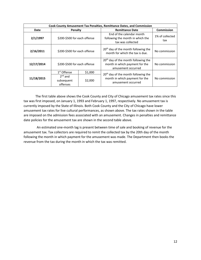| <b>Cook County Amusement Tax Penalties, Remittance Dates, and Commission</b> |                                     |         |                                                                                                         |                        |  |  |  |  |
|------------------------------------------------------------------------------|-------------------------------------|---------|---------------------------------------------------------------------------------------------------------|------------------------|--|--|--|--|
| Date                                                                         | Penalty                             |         | <b>Remittance Date</b>                                                                                  | Commission             |  |  |  |  |
| 2/1/1997                                                                     | \$200-\$500 for each offense        |         | End of the calendar month<br>following the month in which the<br>tax was collected                      | 1% of collected<br>tax |  |  |  |  |
| 2/16/2011                                                                    | \$200-\$500 for each offense        |         | 20 <sup>th</sup> day of the month following the<br>month for which the tax is due.                      | No commission          |  |  |  |  |
| 12/17/2014                                                                   | \$200-\$500 for each offense        |         | 20 <sup>th</sup> day of the month following the<br>month in which payment for the<br>amusement occurred | No commission          |  |  |  |  |
|                                                                              | 1 <sup>st</sup> Offense             | \$1,000 | 20 <sup>th</sup> day of the month following the                                                         |                        |  |  |  |  |
| 11/18/2015                                                                   | $2nd$ and<br>subsequent<br>offenses | \$2,000 | month in which payment for the<br>amusement occurred                                                    | No commission          |  |  |  |  |

The first table above shows the Cook County and City of Chicago amusement tax rates since this tax was first imposed, on January 1, 1993 and February 1, 1997, respectively. No amusement tax is currently imposed by the State of Illinois. Both Cook County and the City of Chicago have lower amusement tax rates for live cultural performances, as shown above. The tax rates shown in the table are imposed on the admission fees associated with an amusement. Changes in penalties and remittance date policies for the amusement tax are shown in the second table above.

 An estimated one-month lag is present between time of sale and booking of revenue for the amusement tax. Tax collectors are required to remit the collected tax by the 20th day of the month following the month in which payment for the amusement was made. The Department then books the revenue from the tax during the month in which the tax was remitted.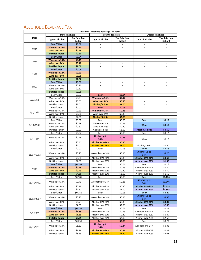# <span id="page-13-0"></span>ALCOHOLIC BEVERAGE TAX

|            |                                       |                          | <b>Historical Alcoholic Beverage Tax Rates</b> |                                      |                                                      |                          |
|------------|---------------------------------------|--------------------------|------------------------------------------------|--------------------------------------|------------------------------------------------------|--------------------------|
|            |                                       | <b>State Tax Rate</b>    |                                                | <b>County Tax Rate</b>               | <b>Chicago Tax Rate</b>                              |                          |
| Date       | <b>Type of Alcohol</b>                | Tax Rate (per<br>Gallon) | <b>Type of Alcohol</b>                         | Tax Rate (per<br>Gallon)             | <b>Type of Alcohol</b>                               | Tax Rate (per<br>Gallon) |
|            | <b>Beer/Cider</b>                     | \$0.02                   |                                                | ÷                                    |                                                      |                          |
|            | Wine up to 14%                        | \$0.10                   | ä,                                             |                                      | $\sim$                                               |                          |
| 1934       | Wine over 14%                         | \$0.25                   | ÷,                                             | $\overline{\phantom{a}}$             | $\overline{\phantom{a}}$                             | ÷,                       |
|            | <b>Distilled liquor</b>               | \$0.50                   |                                                | ٠                                    |                                                      |                          |
|            | Beer/Cider                            | \$0.04                   | $\overline{\phantom{a}}$                       | $\sim$                               | $\sim$                                               | $\sim$                   |
| 1941       | Wine up to 14%                        | \$0.15                   | ä,                                             | ÷                                    | ×.                                                   | ä,                       |
|            | Wine over 14%                         | \$0.40                   | ä,                                             | $\omega$                             | $\omega$                                             | ÷,                       |
|            | <b>Distilled liquor</b>               | \$1.00                   | ÷,                                             | $\overline{\phantom{a}}$             | $\overline{\phantom{a}}$                             | ÷,                       |
|            | Beer/Cider                            | \$0.06                   | ÷,                                             | $\overline{\phantom{a}}$             | $\sim$                                               | ÷,                       |
| 1959       | Wine up to 14%                        | \$0.23\$                 | ä,                                             | $\mathbf{r}$                         | $\omega$                                             | ÷.                       |
|            | Wine over 14%                         | \$0.60                   | ÷,                                             | $\overline{\phantom{a}}$             | $\overline{\phantom{a}}$                             | $\overline{\phantom{a}}$ |
|            | <b>Distilled liquor</b>               | \$1.52                   | ÷,                                             | ÷                                    | $\sim$                                               |                          |
|            | Beer/Cider                            | \$0.07                   | ÷,                                             | $\overline{\phantom{a}}$             | $\overline{\phantom{a}}$                             | ÷,                       |
| 1969       | Wine up to 14%                        | \$0.23                   | $\overline{\phantom{a}}$                       | $\overline{\phantom{a}}$             | $\sim$                                               | $\overline{\phantom{a}}$ |
|            | Wine over 14%                         | \$0.60                   | ä,                                             | $\omega$<br>$\overline{\phantom{a}}$ | $\omega$                                             | ä,                       |
|            | <b>Distilled liquor</b><br>Beer/Cider | \$2.00<br>\$0.07         | <b>Beer</b>                                    | \$0.04                               | $\overline{\phantom{a}}$<br>$\overline{\phantom{a}}$ | ÷                        |
|            | Wine up to 14%                        | \$0.23                   | Wine up to 14%                                 | \$0.12                               | $\sim$                                               | $\overline{\phantom{a}}$ |
| 7/1/1975   | Wine over 14%                         | \$0.60                   | Wine over 14%                                  | \$0.30                               | $\omega$                                             | ÷.                       |
|            | Distilled liquor                      | \$2.00                   | <b>Alcohol/Spirits</b>                         | \$1.00                               | $\overline{\phantom{a}}$                             | ÷,                       |
|            | Beer/Cider                            | \$0.07                   | <b>Beer</b>                                    | \$0.06                               | $\overline{\phantom{a}}$                             | ä,                       |
|            | Wine up to 14%                        | \$0.23                   | Wine up to 14%                                 | \$0.16                               |                                                      |                          |
| 1/1/1985   | Wine over 14%                         | $\frac{1}{5}0.60$        | Wine over 14%                                  | \$0.30                               | $\sim$                                               | $\overline{\phantom{a}}$ |
|            | Distilled liquor                      | \$2.00                   | <b>Alcohol/Spirits</b>                         | \$2.00                               | ÷                                                    | ÷,                       |
|            | Beer/Cider                            | \$0.07                   | Beer                                           | \$0.06                               | <b>Beer</b>                                          | \$0.12                   |
|            | Wine up to 14%                        | \$0.23                   | Wine up to 14%                                 | \$0.16                               |                                                      |                          |
| 5/14/1986  | Wine over 14%                         | \$0.60                   | Wine over 14%                                  | \$0.30                               | Wine                                                 | \$0.15                   |
|            | Distilled liquor                      | \$2.00                   | Alcohol/Spirits                                | \$2.00                               | <b>Alcohol/Spirits</b>                               | \$0.50                   |
|            | Beer/Cider                            | \$0.07                   | Beer                                           | \$0.06                               | Beer                                                 | \$0.12                   |
| 4/1/1993   | Wine up to 14%                        | \$0.23                   | Alcohol up to<br>14%                           | \$0.16                               | Wine                                                 | \$0.15                   |
|            | Wine over 14%                         | \$0.60                   | <b>Alcohol 14%-20%</b>                         | \$0.30                               |                                                      |                          |
|            | Distilled liquor                      | \$2.00                   | <b>Alcohol over 20%</b>                        | \$2.00                               | Alcohol/Spirits                                      | \$0.50                   |
|            | Beer/Cider                            | \$0.07                   | Beer                                           | \$0.06                               | <b>Beer</b>                                          | \$0.16                   |
| 11/17/1993 | Wine up to 14%                        | \$0.23                   | Alcohol up to 14%                              | \$0.16                               | Alcohol up to<br>14%                                 | \$0.20                   |
|            | Wine over 14%                         | \$0.60                   | Alcohol 14%-20%                                | \$0.30                               | Alcohol 14%-20%                                      | \$0.50                   |
|            | Distilled liquor                      | \$2.00                   | Alcohol over 20%                               | \$2.00                               | Alcohol over 20%                                     | \$1.50                   |
|            | <b>Beer/Cider</b>                     | \$0.185                  | Beer                                           | \$0.06                               | Beer                                                 | \$0.16                   |
| 1999       | Wine up to 14%                        | \$0.73                   | Alcohol up to 14%                              | \$0.16                               | Alcohol up to 14%                                    | \$0.20                   |
|            | Wine over 14%                         | \$0.73                   | Alcohol 14%-20%                                | \$0.30                               | Alcohol 14%-20%                                      | \$0.50                   |
|            | <b>Distilled liquor</b>               | \$4.50<br>\$0.185        | Alcohol over 20%<br>Beer                       | \$2.00                               | Alcohol over 20%<br>Beer                             | \$1.50<br>\$0.176        |
| 12/15/2004 | Beer/Cider<br>Wine up to 14%          | \$0.73                   | Alcohol up to 14%                              | \$0.06<br>\$0.16                     | Alcohol up to<br>14%                                 | \$0.246                  |
|            | Wine over 14%                         | \$0.73                   | Alcohol 14%-20%                                | \$0.30                               | Alcohol 14%-20%                                      | \$0.615                  |
|            | Distilled liquor                      | \$4.50                   | Alcohol over 20%                               | \$2.00                               | Alcohol over 20%                                     | \$1.845                  |
|            | Beer/Cider                            | \$0.185                  | Beer                                           | \$0.06                               | <b>Beer</b>                                          | \$0.29                   |
| 11/13/2007 | Wine up to 14%                        | \$0.73                   | Alcohol up to 14%                              | \$0.16                               | Alcohol up to<br>14%                                 | \$0.36                   |
|            | Wine over 14%                         | \$0.73                   | Alcohol 14%-20%                                | \$0.30                               | Alcohol 14%-20%                                      | \$0.89                   |
|            | Distilled liquor                      | \$4.50                   | Alcohol over 20%                               | \$2.00                               | Alcohol over 20%                                     | \$2.68                   |
|            | Beer/Cider                            | \$0.231                  | Beer                                           | \$0.06                               | Beer                                                 | \$0.29                   |
|            | Wine up to 14%                        | \$1.39                   | Alcohol up to 14%                              | \$0.16                               | Alcohol up to 14%                                    | \$0.36                   |
| 9/1/2009   | Wine over 14%                         | \$1.39                   | Alcohol 14%-20%                                | \$0.30                               | Alcohol 14%-20%                                      | \$0.89                   |
|            | <b>Distilled liquor</b>               | \$8.55                   | Alcohol over 20%                               | \$2.00                               | Alcohol over 20%                                     | \$2.68                   |
|            | Beer/Cider                            | \$0.231                  | <b>Beer</b>                                    | \$0.09                               | Beer                                                 | \$0.29                   |
| 11/15/2011 | Wine up to 14%                        | \$1.39                   | Alcohol up to<br>14%                           | \$0.24\$                             | Alcohol up to 14%                                    | \$0.36                   |
|            | Wine over 14%                         | \$1.39                   | Alcohol 14%-20%                                | \$0.45                               | Alcohol 14%-20%                                      | \$0.89                   |
|            | Distilled liquor                      | \$8.55                   | <b>Alcohol over 20%</b>                        | \$2.50                               | Alcohol over 20%                                     | \$2.68                   |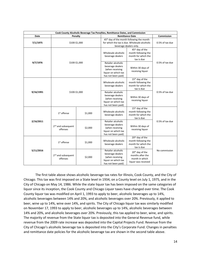| Cook County Alcoholic Beverage Tax Penalties, Remittance Dates, and Commission |                                                                                   |               |                                                                                                        |                                                                                                                                  |                 |  |  |
|--------------------------------------------------------------------------------|-----------------------------------------------------------------------------------|---------------|--------------------------------------------------------------------------------------------------------|----------------------------------------------------------------------------------------------------------------------------------|-----------------|--|--|
| Date                                                                           |                                                                                   | Penalty       | <b>Remittance Date</b>                                                                                 | Commission                                                                                                                       |                 |  |  |
| 7/1/1975                                                                       |                                                                                   | \$100-\$1,000 |                                                                                                        | 45 <sup>th</sup> day of the month following the month<br>for which the tax is due. Wholesale alcoholic<br>beverage dealers only. |                 |  |  |
|                                                                                |                                                                                   |               | Wholesale alcoholic<br>beverage dealers                                                                | 45 <sup>th</sup> day of the<br>month following the<br>month for which the<br>tax is due                                          |                 |  |  |
| 9/7/1976                                                                       |                                                                                   | \$100-\$1,000 | Retailer alcoholic<br>beverage dealers<br>(when receiving<br>liquor on which tax<br>has not been paid) | Within 30 days of<br>receiving liquor                                                                                            | 0.5% of tax due |  |  |
|                                                                                |                                                                                   |               | Wholesale alcoholic<br>beverage dealers                                                                | 15 <sup>th</sup> day of the<br>month following the<br>month for which the<br>tax is due                                          |                 |  |  |
| 9/16/1991                                                                      |                                                                                   | \$100-\$1,000 | Retailer alcoholic<br>beverage dealers<br>(when receiving<br>liquor on which tax<br>has not been paid) | Within 30 days of<br>receiving liquor                                                                                            | 0.5% of tax due |  |  |
|                                                                                | $1st$ offense                                                                     | \$1,000       | Wholesale alcoholic<br>beverage dealers                                                                | 15 <sup>th</sup> day of the<br>month following the<br>month for which the<br>tax is due                                          |                 |  |  |
| 2/16/2011                                                                      | 2 <sup>nd</sup> and subsequent<br>\$2,000<br>offenses                             |               | Retailer alcoholic<br>beverage dealers<br>(when receiving<br>liquor on which tax<br>has not been paid) | Within 30 days of<br>receiving liquor                                                                                            | 0.5% of tax due |  |  |
| 5/11/2016                                                                      | $1st$ offense<br>\$1,000<br>2 <sup>nd</sup> and subsequent<br>\$2,000<br>offenses |               | Wholesale alcoholic<br>beverage dealers                                                                | 20 <sup>th</sup> day of the<br>month following the<br>month for which the<br>tax is due                                          |                 |  |  |
|                                                                                |                                                                                   |               | Retailer alcoholic<br>beverage dealers<br>(when receiving<br>liquor on which tax<br>has not been paid) | 20 <sup>th</sup> day of the<br>months after the<br>month in which<br>liquor was received                                         | No commission   |  |  |

The first table above shows alcoholic beverage tax rates for Illinois, Cook County, and the City of Chicago. This tax was first imposed on a State level in 1934, on a County level on July 1, 1975, and in the City of Chicago on May 14, 1986. While the state liquor tax has been imposed on the same categories of liquor since its inception, the Cook County and Chicago Liquor taxes have changed over time. The Cook County liquor tax was modified on April 1, 1993 to apply to beer, alcoholic beverages up to 14%, alcoholic beverages between 14% and 20%, and alcoholic beverages over 20%. Previously, it applied to beer, wine up to 14%, wine over 14%, and spirits. The City of Chicago liquor tax was similarly modified on November 17, 1993 to apply to beer, alcoholic beverages up to 14%, alcoholic beverages between 14% and 20%, and alcoholic beverages over 20%. Previously, this tax applied to beer, wine, and spirits. The majority of revenue from the State liquor tax is deposited into the General Revenue fund, while revenue from the 2009 rate increase was deposited into the Capital Projects Fund. Revenue from the City of Chicago's alcoholic beverage tax is deposited into the City's Corporate Fund. Changes in penalties and remittance date policies for the alcoholic beverage tax are shown in the second table above.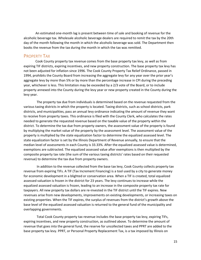An estimated one-month lag is present between time of sale and booking of revenue for the alcoholic beverage tax. Wholesale alcoholic beverage dealers are required to remit the tax by the 20th day of the month following the month in which the alcoholic beverage was sold. The Department then books the revenue from the tax during the month in which the tax was remitted.

#### <span id="page-15-0"></span>PROPERTY TAX

Cook County property tax revenue comes from the base property tax levy, as well as from expiring TIF districts, expiring incentives, and new property construction. The base property tax levy has not been adjusted for inflation since 1996. The Cook County Property Tax Relief Ordinance, passed in 1994, prohibits the County Board from increasing the aggregate levy for any year over the prior year's aggregate levy by more than 5% or by more than the percentage increase in CPI during the preceding year, whichever is less. This limitation may be exceeded by a 2/3 vote of the Board, or to include property annexed into the County during the levy year or new property created in the County during the levy year.

 The property tax due from individuals is determined based on the revenue requested from the various taxing districts in which the property is located. Taxing districts, such as school districts, park districts, and municipalities, pass an annual levy ordinance indicating the amount of revenue they want to receive from property taxes. This ordinance is filed with the County Clerk, who calculates the rates needed to generate the requested revenue based on the taxable value of the property within the district. To determine the tax due from property owners, the assessment value of the property is found by multiplying the market value of the property by the assessment level. The assessment value of the property is multiplied by the state equalization factor to determine the equalized assessed level. The state equalization factor is set by the Illinois Department of Revenue annually, to ensure that the median level of assessments in each County is 33.33%. After the equalized assessed value is determined, exemptions are subtracted. The equalized assessed value after exemptions is then multiplied by the composite property tax rate (the sum of the various taxing districts' rates based on their requested revenue) to determine the tax due from property owners.

 In addition to the revenue collected from the base tax levy, Cook County collects property tax revenue from expiring TIFs. A TIF (Tax Increment Financing) is a tool used by a city to generate money for economic development in a blighted or conservation area. When a TIF is created, total equalized assessed valuation is frozen in the district for 23 years. The levy continues to increase while the equalized assessed valuation is frozen, leading to an increase in the composite property tax rate for taxpayers. All new property tax dollars are re-invested in the TIF district until the TIF expires. New revenues arise from new developments, improvements on existing developments, or increasing taxes on existing properties. When the TIF expires, the surplus of revenues from the district's growth above the base level of the equalized assessed valuation is returned to the general fund of the municipality and overlapping governments.

 Total Cook County property tax revenue includes the base property tax levy, expiring TIFs, expiring incentives, and new property construction, as outlined above. To determine the amount of revenue that goes into the general fund, the reserve for uncollected taxes and PPRT are added to the base property tax levy. PPRT, or Personal Property Replacement Tax, is a tax imposed by Illinois on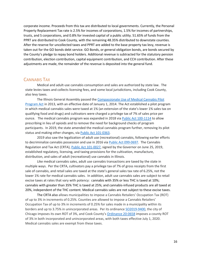corporate income. Proceeds from this tax are distributed to local governments. Currently, the Personal Property Replacement Tax rate is 2.5% for incomes of corporations, 1.5% for incomes of partnerships, trusts, and S corporations, and 0.8% for invested capital of a public utility. 51.65% of funds from the PPRT are distributed to Cook County, with the remaining 48.35% distributed to downstate counties. After the reserve for uncollected taxes and PPRT are added to the base property tax levy, revenue is taken out for the GO bonds debt service. GO Bonds, or general obligation bonds, are bonds secured by the County's pledge to repay bond holders. Additional revenue is subtracted for the statutory pension contribution, election contribution, capital equipment contribution, and CCH contribution. After these adjustments are made, the remainder of the revenue is deposited into the general fund.

### <span id="page-16-0"></span>CANNABIS TAX

Medical and adult-use cannabis consumption and sales are authorized by state law. The state levies taxes and collects licensing fees, and some local jurisdictions, including Cook County, also levy taxes.

The Illinois General Assembly passed the [Compassionate Use of Medical Cannabis Pilot](https://www.ilga.gov/legislation/publicacts/98/PDF/098-0122.pdf)  [Program Act](https://www.ilga.gov/legislation/publicacts/98/PDF/098-0122.pdf) in 2013, with an effective date of January 1, 2014. The Act established a pilot program in which medical cannabis sales were taxed at 1% (an extension of the state's lower 1% sales tax on qualifying food and drugs) and cultivators were charged a privilege tax of 7% of sales price per ounce. The medical cannabis program was expanded in 2018 vi[a Public Act 100-1114](https://www.ilga.gov/legislation/publicacts/100/PDF/100-1114.pdf) to allow prescribing in lieu of opioids and to remove the need for background checks of program participants. In 2019, the state amended the medical cannabis program further, removing its pilot status and making other changes, via [Public Act 101-0363.](https://www.ilga.gov/legislation/publicacts/101/PDF/101-0363.pdf)

2019 also saw the legalization of adult use (recreational) cannabis, following earlier efforts to decriminalize cannabis possession and use in 2016 via [Public Act 099-0697.](https://www.ilga.gov/legislation/publicacts/99/PDF/099-0697.pdf) The Cannabis Regulation and Tax Act (CRTA), [Public Act 101-0027,](https://www.ilga.gov/legislation/publicacts/101/PDF/101-0027.pdf) signed by the Governor on June 25, 2019, established regulatory, licensing, and taxing provisions for the cultivation, manufacture, distribution, and sales of adult (recreational) use cannabis in Illinois.

Like medical cannabis sales, adult use cannabis transactions are taxed by the state in multiple ways. Per the CRTA, cultivators pay a privilege tax of 7% of gross receipts from the first sale of cannabis, and retail sales are taxed at the state's general sales tax rate of 6.25%, not the lower 1% rate for medical cannabis sales. In addition, adult use cannabis sales are subject to retail excise taxes at rates that vary with potency: cannabis with 35% or less THC is taxed at 10%; cannabis with greater than 35% THC is taxed at 25%; and cannabis-infused products are all taxed at 20%, independent of the THC content. Medical cannabis sales are not subject to these excise taxes.

The CRTA also allows municipalities to impose a Cannabis Retailers' Occupation Tax (ROT) of up to 3% in increments of 0.25%. Counties are allowed to impose a Cannabis Retailers' Occupation Tax of up to 3% in increments of 0.25% for sales made in a municipality within its borders and up to 3.75% in unincorporated areas. Per its ordinanc[e SO2019-9400,](https://chicago.legistar.com/LegislationDetail.aspx?ID=4284607&GUID=93F6BCD6-9A47-4852-AAED-C4ABD5354D2A&Options=Advanced&Search=) the city of Chicago imposes its own ROT of 3%, and Cook County's [Ordinance 20-0658](https://cook-county.legistar.com/LegislationDetail.aspx?ID=4280106&GUID=98219272-8F85-44D5-8B4F-977D7EF4B0E2&Options=Advanced&Search=) imposes a county ROT of 3% in both incorporated and unincorporated areas, with both taxes effective July 1, 2020. Medical cannabis sales are exempt from these taxes.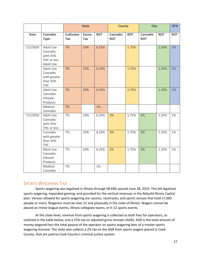|             |                                                                 |                          | <b>State</b>         |            | <b>County</b>                 |            | <b>City</b>                   |            | <b>RTA</b> |
|-------------|-----------------------------------------------------------------|--------------------------|----------------------|------------|-------------------------------|------------|-------------------------------|------------|------------|
| <b>Date</b> | <b>Cannabis</b><br><b>Type</b>                                  | <b>Cultivator</b><br>Tax | <b>Excise</b><br>Tax | <b>ROT</b> | <b>Cannabis</b><br><b>ROT</b> | <b>ROT</b> | <b>Cannabis</b><br><b>ROT</b> | <b>ROT</b> | <b>ROT</b> |
| 1/1/2020    | Adult Use<br>Cannabis<br>with 35%<br>THC or less<br>Adult Use   | 7%                       | 10%                  | 6.25%      |                               | 1.75%      |                               | 1.25%      | 1%         |
|             | Adult Use<br>Cannabis<br>with greater<br>than 35%<br><b>THC</b> | 7%                       | 25%                  | 6.25%      |                               | 1.75%      |                               | 1.25%      | 1%         |
|             | <b>Adult Use</b><br>Cannabis<br>Infused<br>Products             | 7%                       | 20%                  | 6.25%      |                               | 1.75%      |                               | 1.25%      | 1%         |
|             | Medical<br>Cannabis                                             | 7%                       |                      | 1%         |                               |            |                               |            |            |
| 7/1/2020    | Adult Use<br>Cannabis<br>with 35%<br>THC or less                | 7%                       | 10%                  | 6.25%      | 3%                            | 1.75%      | 3%                            | 1.25%      | 1%         |
|             | Cannabis<br>with greater<br>than 35%<br><b>THC</b>              | 7%                       | 25%                  | 6.25%      | 3%                            | 1.75%      | 3%                            | 1.25%      | 1%         |
|             | Adult Use<br>Cannabis<br>Infused<br>Products                    | 7%                       | 20%                  | 6.25%      | 3%                            | 1.75%      | 3%                            | 1.25%      | 1%         |
|             | Medical<br>Cannabis                                             | 7%                       |                      | 1%         |                               |            |                               |            |            |

### <span id="page-17-0"></span>SPORTS WAGERING TAX

Sports wagering was legalized in Illinois through SB 690, passed June 28, 2019. This bill legalized sports wagering, expanded gaming, and provided for the vertical revenues in the Rebuild Illinois Capital plan. Venues allowed for sports wagering are casinos, racetracks, and sports venues that hold 17,000 people or more. Wagerers must be over 21 and physically in the state of Illinois. Wagers cannot be placed on minor league events, Illinois collegiate teams, or K-12 sports events.

At the state level, revenue from sports wagering is collected as both fees for operators, as outlined in the table below, and a 15% tax on adjusted gross receipts (AGR). AGR is the total amount of money wagered less the total payout of the operator on sports wagering bets of a master sports wagering licensee. The state also collects a 2% tax on the AGR from sports wagers placed in Cook County, that are paid to Cook County's criminal justice system.